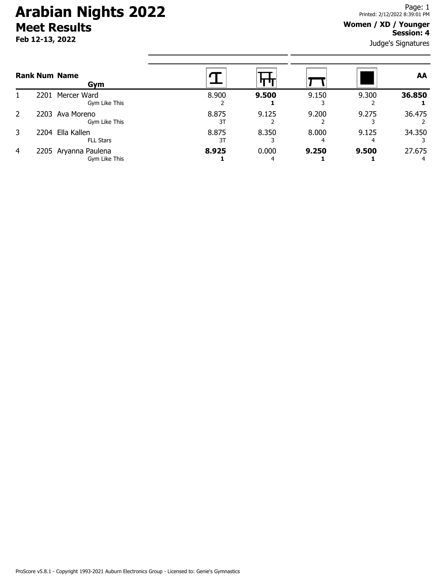# **Arabian Nights 2022 Meet Results**

**Feb 12-13, 2022**

#### **Women / XD / Younger Session: 4**

Judge's Signatures

| <b>Rank Num Name</b><br>Gym |      |                                       |             |            |       |       | <b>AA</b> |
|-----------------------------|------|---------------------------------------|-------------|------------|-------|-------|-----------|
|                             |      | 2201 Mercer Ward<br>Gym Like This     | 8.900       | 9.500      | 9.150 | 9.300 | 36.850    |
| 2                           |      | 2203 Ava Moreno<br>Gym Like This      | 8.875<br>31 | 9.125      | 9.200 | 9.275 | 36.475    |
| 3                           | 2204 | Ella Kallen<br><b>FLL Stars</b>       | 8.875<br>31 | 8.350      | 8.000 | 9.125 | 34.350    |
| $\overline{4}$              |      | 2205 Aryanna Paulena<br>Gym Like This | 8.925       | 0.000<br>4 | 9.250 | 9.500 | 27.675    |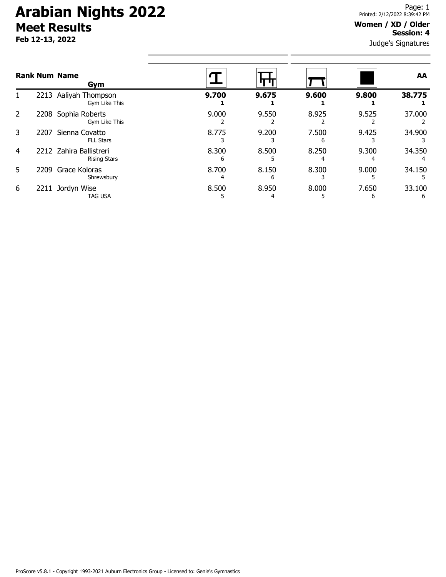## **Arabian Nights 2022 Meet Results**

**Feb 12-13, 2022**

#### **Women / XD / Older Session: 4**

Judge's Signatures

| <b>Rank Num Name</b><br>Gym |      |                                                |       | п п   |       |            | AA     |
|-----------------------------|------|------------------------------------------------|-------|-------|-------|------------|--------|
|                             |      | 2213 Aaliyah Thompson<br>Gym Like This         | 9.700 | 9.675 | 9.600 | 9.800      | 38.775 |
| 2                           |      | 2208 Sophia Roberts<br>Gym Like This           | 9.000 | 9.550 | 8.925 | 9.525      | 37.000 |
| 3                           | 2207 | Sienna Covatto<br><b>FLL Stars</b>             | 8.775 | 9.200 | 7.500 | 9.425      | 34.900 |
| 4                           |      | 2212 Zahira Ballistreri<br><b>Rising Stars</b> | 8.300 | 8.500 | 8.250 | 9.300      | 34.350 |
| 5.                          |      | 2209 Grace Koloras<br>Shrewsbury               | 8.700 | 8.150 | 8.300 | 9.000      | 34.150 |
| 6                           | 2211 | Jordyn Wise<br><b>TAG USA</b>                  | 8.500 | 8.950 | 8.000 | 7.650<br>b | 33.100 |